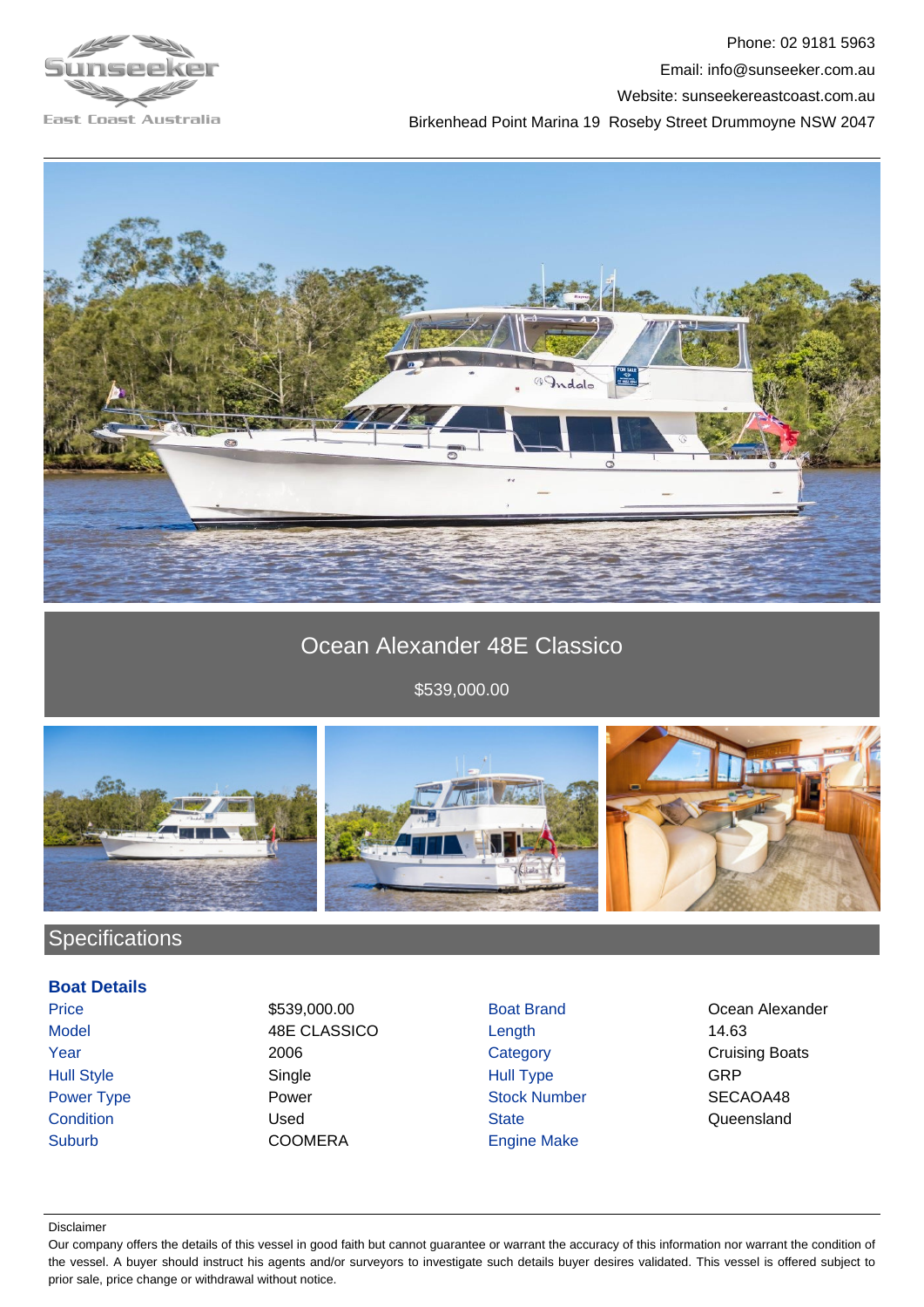

Phone: 02 9181 5963 Email: info@sunseeker.com.au Website: sunseekereastcoast.com.au Birkenhead Point Marina 19 Roseby Street Drummoyne NSW 2047



## Ocean Alexander 48E Classico

\$539,000.00



# **Specifications**

#### **Boat Details**

Suburb COOMERA Engine Make

Model 48E CLASSICO Length 14.63 Hull Style **Single** Single **Single Hull Type** GRP Power Type **Power Stock Number** Stock Number SECAOA48 Condition Condition Condition Condition Condition Condition Cueensland

Price \$539,000.00 \$539,000.00 Boat Brand Dcean Alexander Year 2006 2006 Category Category Cruising Boats

#### Disclaimer

Our company offers the details of this vessel in good faith but cannot guarantee or warrant the accuracy of this information nor warrant the condition of the vessel. A buyer should instruct his agents and/or surveyors to investigate such details buyer desires validated. This vessel is offered subject to prior sale, price change or withdrawal without notice.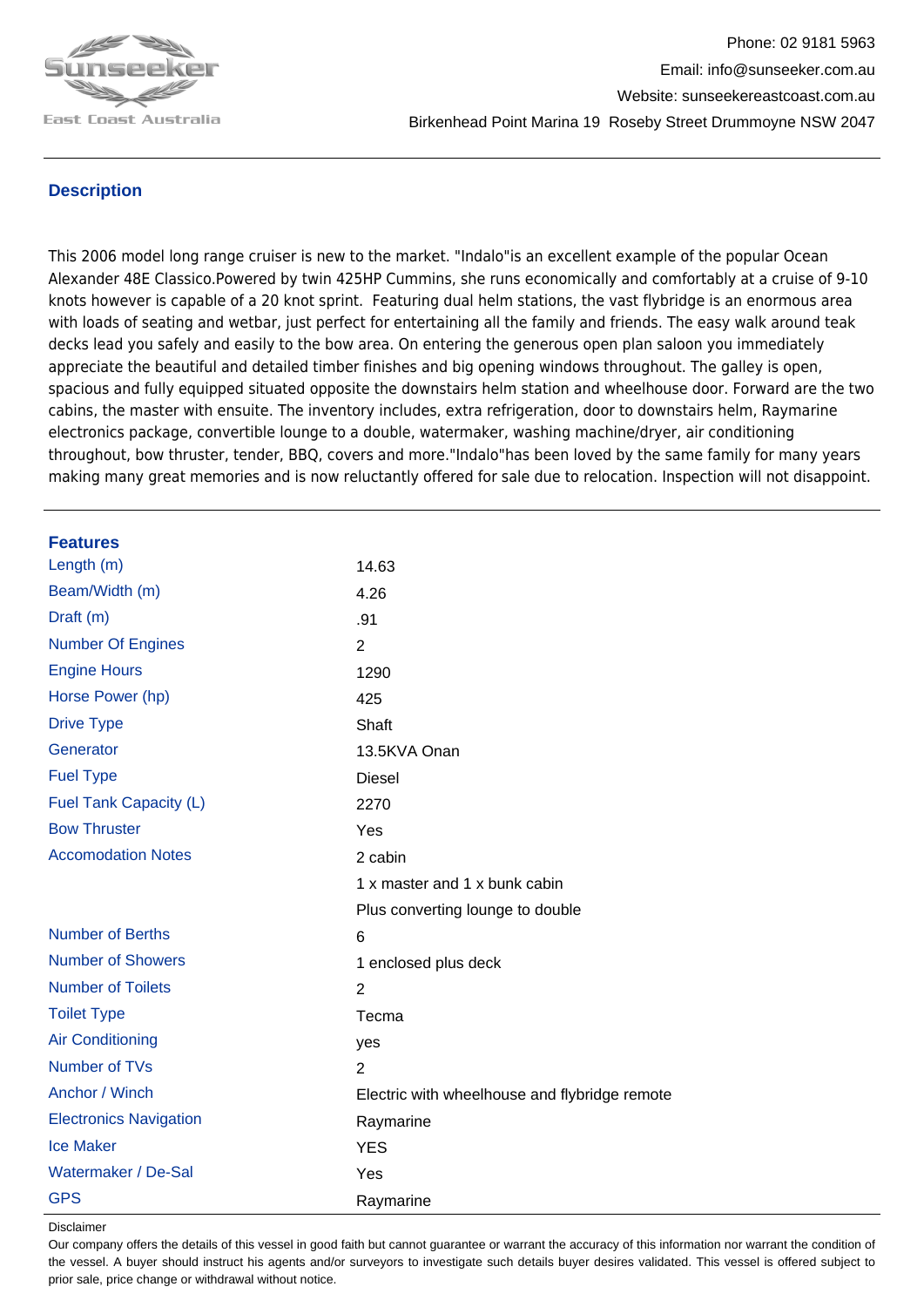

### **Description**

This 2006 model long range cruiser is new to the market. "Indalo"is an excellent example of the popular Ocean Alexander 48E Classico.Powered by twin 425HP Cummins, she runs economically and comfortably at a cruise of 9-10 knots however is capable of a 20 knot sprint. Featuring dual helm stations, the vast flybridge is an enormous area with loads of seating and wetbar, just perfect for entertaining all the family and friends. The easy walk around teak decks lead you safely and easily to the bow area. On entering the generous open plan saloon you immediately appreciate the beautiful and detailed timber finishes and big opening windows throughout. The galley is open, spacious and fully equipped situated opposite the downstairs helm station and wheelhouse door. Forward are the two cabins, the master with ensuite. The inventory includes, extra refrigeration, door to downstairs helm, Raymarine electronics package, convertible lounge to a double, watermaker, washing machine/dryer, air conditioning throughout, bow thruster, tender, BBQ, covers and more."Indalo"has been loved by the same family for many years making many great memories and is now reluctantly offered for sale due to relocation. Inspection will not disappoint.

| <b>Features</b>               |                                               |
|-------------------------------|-----------------------------------------------|
| Length (m)                    | 14.63                                         |
| Beam/Width (m)                | 4.26                                          |
| Draft (m)                     | .91                                           |
| <b>Number Of Engines</b>      | $\overline{2}$                                |
| <b>Engine Hours</b>           | 1290                                          |
| Horse Power (hp)              | 425                                           |
| <b>Drive Type</b>             | Shaft                                         |
| Generator                     | 13.5KVA Onan                                  |
| <b>Fuel Type</b>              | <b>Diesel</b>                                 |
| Fuel Tank Capacity (L)        | 2270                                          |
| <b>Bow Thruster</b>           | Yes                                           |
| <b>Accomodation Notes</b>     | 2 cabin                                       |
|                               | 1 x master and 1 x bunk cabin                 |
|                               | Plus converting lounge to double              |
| Number of Berths              | 6                                             |
| <b>Number of Showers</b>      | 1 enclosed plus deck                          |
| <b>Number of Toilets</b>      | $\overline{2}$                                |
| <b>Toilet Type</b>            | Tecma                                         |
| <b>Air Conditioning</b>       | yes                                           |
| Number of TVs                 | $\overline{2}$                                |
| Anchor / Winch                | Electric with wheelhouse and flybridge remote |
| <b>Electronics Navigation</b> | Raymarine                                     |
| <b>Ice Maker</b>              | <b>YES</b>                                    |
| Watermaker / De-Sal           | Yes                                           |
| <b>GPS</b>                    | Raymarine                                     |

Disclaimer

Our company offers the details of this vessel in good faith but cannot guarantee or warrant the accuracy of this information nor warrant the condition of the vessel. A buyer should instruct his agents and/or surveyors to investigate such details buyer desires validated. This vessel is offered subject to prior sale, price change or withdrawal without notice.